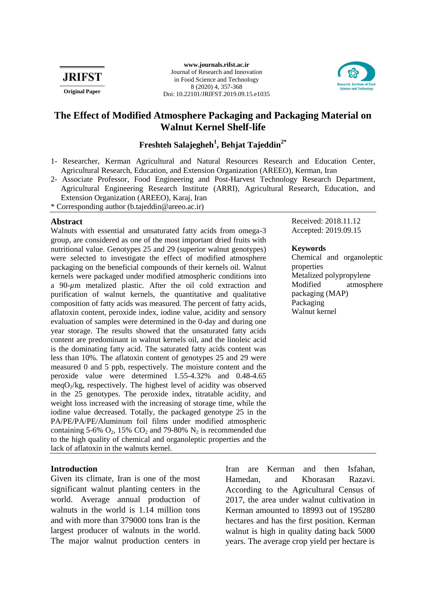

**www.journals.rifst.ac.ir** Journal of Research and Innovation in Food Science and Technology 8 (2020) 4, 357-368 **Original Paper Doi:** [10.22101/JRIFST.2019.09.15.e1035](http://dx.doi.org/10.22101/JRIFST.2019.09.15.e1035)



# **The Effect of Modified Atmosphere Packaging and Packaging Material on Walnut Kernel Shelf-life**

## **Freshteh Salajegheh<sup>1</sup> , Behjat Tajeddin2\***

- 1- Researcher, Kerman Agricultural and Natural Resources Research and Education Center, Agricultural Research, Education, and Extension Organization (AREEO), Kerman, Iran
- 2- Associate Professor, Food Engineering and Post-Harvest Technology Research Department, Agricultural Engineering Research Institute (ARRI), Agricultural Research, Education, and Extension Organization (AREEO), Karaj, Iran
- \* Corresponding author (b.tajeddin@areeo.ac.ir)

## **Abstract**

Walnuts with essential and unsaturated fatty acids from omega-3 group, are considered as one of the most important dried fruits with nutritional value. Genotypes 25 and 29 (superior walnut genotypes) were selected to investigate the effect of modified atmosphere packaging on the beneficial compounds of their kernels oil. Walnut kernels were packaged under modified atmospheric conditions into a 90-*µ*m metalized plastic. After the oil cold extraction and purification of walnut kernels, the quantitative and qualitative composition of fatty acids was measured. The percent of fatty acids, aflatoxin content, peroxide index, iodine value, acidity and sensory evaluation of samples were determined in the 0-day and during one year storage. The results showed that the unsaturated fatty acids content are predominant in walnut kernels oil, and the linoleic acid is the dominating fatty acid. The saturated fatty acids content was less than 10%. The aflatoxin content of genotypes 25 and 29 were measured 0 and 5 ppb, respectively. The moisture content and the peroxide value were determined 1.55-4.32% and 0.48-4.65  $meqO<sub>2</sub>/kg$ , respectively. The highest level of acidity was observed in the 25 genotypes. The peroxide index, titratable acidity, and weight loss increased with the increasing of storage time, while the iodine value decreased. Totally, the packaged genotype 25 in the PA/PE/PA/PE/Aluminum foil films under modified atmospheric containing 5-6%  $O_2$ , 15%  $CO_2$  and 79-80% N<sub>2</sub> is recommended due to the high quality of chemical and organoleptic properties and the lack of aflatoxin in the walnuts kernel.

## **Introduction**

Given its climate, Iran is one of the most significant walnut planting centers in the world. Average annual production of walnuts in the world is 1.14 million tons and with more than 379000 tons Iran is the largest producer of walnuts in the world. The major walnut production centers in Iran are Kerman and then Isfahan, Hamedan, and Khorasan Razavi. According to the Agricultural Census of 2017, the area under walnut cultivation in Kerman amounted to 18993 out of 195280 hectares and has the first position. Kerman walnut is high in quality dating back 5000 years. The average crop yield per hectare is

Received: 2018.11.12 Accepted: 2019.09.15

#### **Keywords**

Chemical and organoleptic properties Metalized polypropylene Modified atmosphere packaging (MAP) Packaging Walnut kernel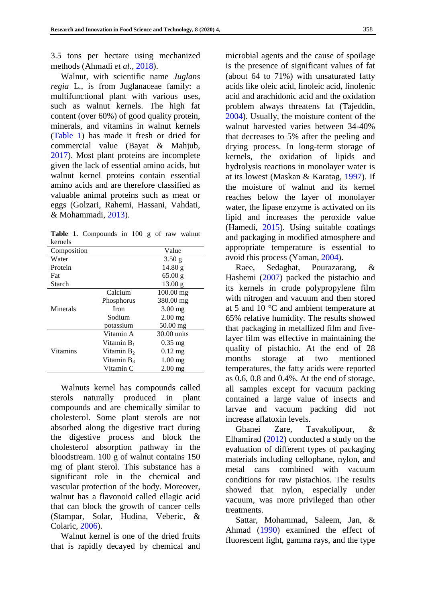3.5 tons per hectare using mechanized methods [\(Ahmadi](#page-9-0) *et al*., 2018).

Walnut, with scientific name *Juglans regia* L., is from Juglanaceae family: a multifunctional plant with various uses, such as walnut kernels. The high fat content (over 60%) of good quality protein, minerals, and vitamins in walnut kernels [\(Table 1\)](#page-1-0) has made it fresh or dried for commercial value [\(Bayat & Mahjub,](#page-9-1) [2017\)](#page-9-1). Most plant proteins are incomplete given the lack of essential amino acids, but walnut kernel proteins contain essential amino acids and are therefore classified as valuable animal proteins such as meat or eggs [\(Golzari, Rahemi, Hassani, Vahdati,](#page-9-2)  [& Mohammadi, 2013\)](#page-9-2).

<span id="page-1-0"></span>**Table 1.** Compounds in 100 g of raw walnut kernels

| refileis    |               |                     |
|-------------|---------------|---------------------|
| Composition |               | Value               |
| Water       |               | $3.50$ g            |
| Protein     |               | 14.80 g             |
| Fat         |               | 65.00 g             |
| Starch      |               | 13.00 g             |
|             | Calcium       | $100.00 \text{ mg}$ |
|             | Phosphorus    | 380.00 mg           |
| Minerals    | Iron          | $3.00$ mg           |
|             | Sodium        | $2.00$ mg           |
|             | potassium     | $50.00$ mg          |
|             | Vitamin A     | 30.00 units         |
|             | Vitamin $B_1$ | $0.35 \text{ mg}$   |
| Vitamins    | Vitamin $B_2$ | $0.12 \text{ mg}$   |
|             | Vitamin $B_3$ | $1.00 \text{ mg}$   |
|             | Vitamin C     | $2.00 \text{ mg}$   |

Walnuts kernel has compounds called sterols naturally produced in plant compounds and are chemically similar to cholesterol. Some plant sterols are not absorbed along the digestive tract during the digestive process and block the cholesterol absorption pathway in the bloodstream. 100 g of walnut contains 150 mg of plant sterol. This substance has a significant role in the chemical and vascular protection of the body. Moreover, walnut has a flavonoid called ellagic acid that can block the growth of cancer cells [\(Stampar, Solar, Hudina, Veberic, &](#page-10-0)  [Colaric, 2006\)](#page-10-0).

Walnut kernel is one of the dried fruits that is rapidly decayed by chemical and microbial agents and the cause of spoilage is the presence of significant values of fat (about 64 to 71%) with unsaturated fatty acids like oleic acid, linoleic acid, linolenic acid and arachidonic acid and the oxidation problem always threatens fat [\(Tajeddin,](#page-10-1)  [2004\)](#page-10-1). Usually, the moisture content of the walnut harvested varies between 34-40% that decreases to 5% after the peeling and drying process. In long-term storage of kernels, the oxidation of lipids and hydrolysis reactions in monolayer water is at its lowest [\(Maskan & Karatag, 1997\)](#page-9-3). If the moisture of walnut and its kernel reaches below the layer of monolayer water, the lipase enzyme is activated on its lipid and increases the peroxide value [\(Hamedi, 2015\)](#page-9-4). Using suitable coatings and packaging in modified atmosphere and appropriate temperature is essential to avoid this process [\(Yaman, 2004\)](#page-10-2).

[Raee, Sedaghat, Pourazarang, &](#page-10-3)  [Hashemi \(2007\)](#page-10-3) packed the pistachio and its kernels in crude polypropylene film with nitrogen and vacuum and then stored at 5 and 10 °C and ambient temperature at 65% relative humidity. The results showed that packaging in metallized film and fivelayer film was effective in maintaining the quality of pistachio. At the end of 28 months storage at two mentioned temperatures, the fatty acids were reported as 0.6, 0.8 and 0.4%. At the end of storage, all samples except for vacuum packing contained a large value of insects and larvae and vacuum packing did not increase aflatoxin levels.

[Ghanei Zare, Tavakolipour, &](#page-9-5)  [Elhamirad](#page-9-5) (2012) conducted a study on the evaluation of different types of packaging materials including cellophane, nylon, and metal cans combined with vacuum conditions for raw pistachios. The results showed that nylon, especially under vacuum, was more privileged than other treatments.

[Sattar, Mohammad, Saleem, Jan, &](#page-10-4)  [Ahmad \(1990\)](#page-10-4) examined the effect of fluorescent light, gamma rays, and the type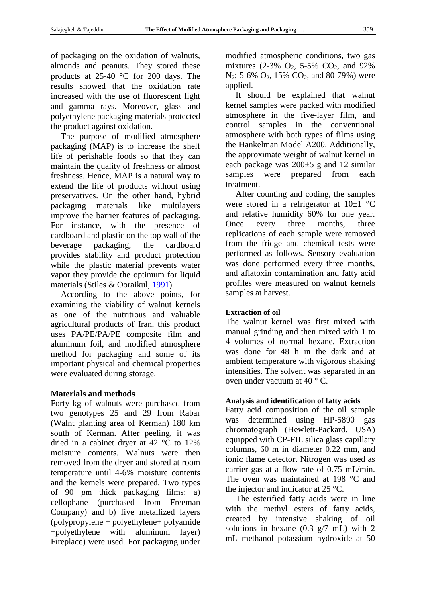of packaging on the oxidation of walnuts, almonds and peanuts. They stored these products at 25-40 °C for 200 days. The results showed that the oxidation rate increased with the use of fluorescent light and gamma rays. Moreover, glass and polyethylene packaging materials protected the product against oxidation.

The purpose of modified atmosphere packaging (MAP) is to increase the shelf life of perishable foods so that they can maintain the quality of freshness or almost freshness. Hence, MAP is a natural way to extend the life of products without using preservatives. On the other hand, hybrid packaging materials like multilayers improve the barrier features of packaging. For instance, with the presence of cardboard and plastic on the top wall of the beverage packaging, the cardboard provides stability and product protection while the plastic material prevents water vapor they provide the optimum for liquid materials [\(Stiles & Ooraikul, 1991\)](#page-10-5).

According to the above points, for examining the viability of walnut kernels as one of the nutritious and valuable agricultural products of Iran, this product uses PA/PE/PA/PE composite film and aluminum foil, and modified atmosphere method for packaging and some of its important physical and chemical properties were evaluated during storage.

## **Materials and methods**

Forty kg of walnuts were purchased from two genotypes 25 and 29 from Rabar (Walnt planting area of Kerman) 180 km south of Kerman. After peeling, it was dried in a cabinet dryer at 42 °C to 12% moisture contents. Walnuts were then removed from the dryer and stored at room temperature until 4-6% moisture contents and the kernels were prepared. Two types of 90 *µ*m thick packaging films: a) cellophane (purchased from Freeman Company) and b) five metallized layers (polypropylene + polyethylene+ polyamide +polyethylene with aluminum layer) Fireplace) were used. For packaging under modified atmospheric conditions, two gas mixtures (2-3%  $O_2$ , 5-5%  $CO_2$ , and 92%  $N_2$ ; 5-6%  $O_2$ , 15%  $CO_2$ , and 80-79%) were applied.

It should be explained that walnut kernel samples were packed with modified atmosphere in the five-layer film, and control samples in the conventional atmosphere with both types of films using the Hankelman Model A200. Additionally, the approximate weight of walnut kernel in each package was 200±5 g and 12 similar samples were prepared from each treatment.

After counting and coding, the samples were stored in a refrigerator at  $10\pm1$  °C and relative humidity 60% for one year. Once every three months, three replications of each sample were removed from the fridge and chemical tests were performed as follows. Sensory evaluation was done performed every three months, and aflatoxin contamination and fatty acid profiles were measured on walnut kernels samples at harvest.

## **Extraction of oil**

The walnut kernel was first mixed with manual grinding and then mixed with 1 to 4 volumes of normal hexane. Extraction was done for 48 h in the dark and at ambient temperature with vigorous shaking intensities. The solvent was separated in an oven under vacuum at 40 ° C.

## **Analysis and identification of fatty acids**

Fatty acid composition of the oil sample was determined using HP-5890 gas chromatograph (Hewlett-Packard, USA) equipped with CP-FIL silica glass capillary columns, 60 m in diameter 0.22 mm, and ionic flame detector. Nitrogen was used as carrier gas at a flow rate of 0.75 mL/min. The oven was maintained at 198 °C and the injector and indicator at 25 °C.

The esterified fatty acids were in line with the methyl esters of fatty acids, created by intensive shaking of oil solutions in hexane  $(0.3 \text{ g}/7 \text{ mL})$  with 2 mL methanol potassium hydroxide at 50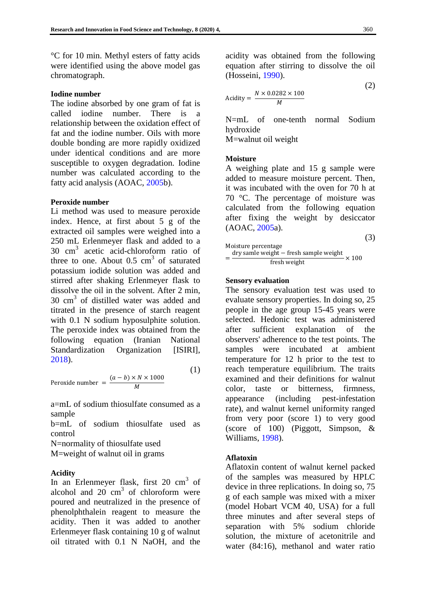$(2)$ 

(3)

°C for 10 min. Methyl esters of fatty acids were identified using the above model gas chromatograph.

#### **Iodine number**

The iodine absorbed by one gram of fat is called iodine number. There is a relationship between the oxidation effect of fat and the iodine number. Oils with more double bonding are more rapidly oxidized under identical conditions and are more susceptible to oxygen degradation. Iodine number was calculated according to the fatty acid analysis [\(AOAC,](#page-9-6) 2005b).

## **Peroxide number**

Li method was used to measure peroxide index. Hence, at first about 5 g of the extracted oil samples were weighed into a 250 mL Erlenmeyer flask and added to a 30 cm<sup>3</sup> acetic acid-chloroform ratio of three to one. About  $0.5 \text{ cm}^3$  of saturated potassium iodide solution was added and stirred after shaking Erlenmeyer flask to dissolve the oil in the solvent. After 2 min, 30 cm<sup>3</sup> of distilled water was added and titrated in the presence of starch reagent with 0.1 N sodium hyposulphite solution. The peroxide index was obtained from the following equation [\(Iranian National](#page-9-7)  [Standardization Organization](#page-9-7) [ISIRI], [2018\)](#page-9-7).

$$
Peroxide number = \frac{(a-b) \times N \times 1000}{M}
$$
 (1)

a=mL of sodium thiosulfate consumed as a sample

b=mL of sodium thiosulfate used as control

N=normality of thiosulfate used

M=weight of walnut oil in grams

## **Acidity**

In an Erlenmeyer flask, first 20 cm<sup>3</sup> of alcohol and  $20 \text{ cm}^3$  of chloroform were poured and neutralized in the presence of phenolphthalein reagent to measure the acidity. Then it was added to another Erlenmeyer flask containing 10 g of walnut oil titrated with 0.1 N NaOH, and the

acidity was obtained from the following equation after stirring to dissolve the oil [\(Hosseini, 1990\)](#page-9-8).

$$
Acidity = \frac{N \times 0.0282 \times 100}{M}
$$

N=mL of one-tenth normal Sodium hydroxide M=walnut oil weight

#### **Moisture**

A weighing plate and 15 g sample were added to measure moisture percent. Then, it was incubated with the oven for 70 h at 70 °C. The percentage of moisture was calculated from the following equation after fixing the weight by desiccator [\(AOAC, 2005a\)](#page-9-9).

Moisture percentage

\n
$$
= \frac{dry \, sample \, weight - fresh \, sample \, weight}{fresh \, weight} \times 100
$$

## **Sensory evaluation**

The sensory evaluation test was used to evaluate sensory properties. In doing so, 25 people in the age group 15-45 years were selected. Hedonic test was administered after sufficient explanation of the observers' adherence to the test points. The samples were incubated at ambient temperature for 12 h prior to the test to reach temperature equilibrium. The traits examined and their definitions for walnut color, taste or bitterness, firmness, appearance (including pest-infestation rate), and walnut kernel uniformity ranged from very poor (score 1) to very good (score of 100) [\(Piggott, Simpson, &](#page-10-6)  [Williams, 1998\)](#page-10-6).

## **Aflatoxin**

Aflatoxin content of walnut kernel packed of the samples was measured by HPLC device in three replications. In doing so, 75 g of each sample was mixed with a mixer (model Hobart VCM 40, USA) for a full three minutes and after several steps of separation with 5% sodium chloride solution, the mixture of acetonitrile and water (84:16), methanol and water ratio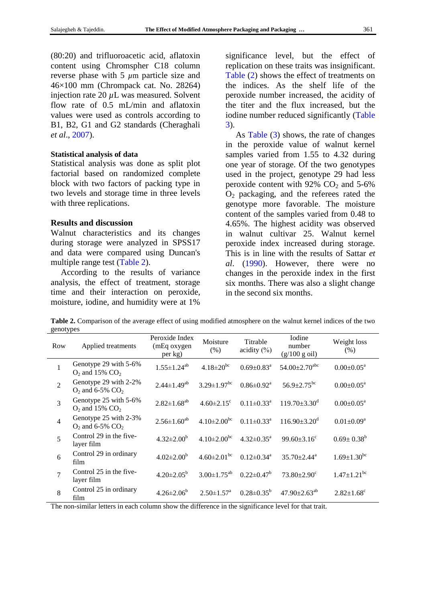(80:20) and trifluoroacetic acid, aflatoxin content using Chromspher C18 column reverse phase with 5 *µ*m particle size and 46×100 mm (Chrompack cat. No. 28264) injection rate 20 *µ*L was measured. Solvent flow rate of 0.5 mL/min and aflatoxin values were used as controls according to B1, B2, G1 and G2 standards [\(Cheraghali](#page-9-10)  *et al*[., 2007\)](#page-9-10).

#### **Statistical analysis of data**

Statistical analysis was done as split plot factorial based on randomized complete block with two factors of packing type in two levels and storage time in three levels with three replications.

## **Results and discussion**

Walnut characteristics and its changes during storage were analyzed in SPSS17 and data were compared using Duncan's multiple range test [\(Table 2\)](#page-4-0).

According to the results of variance analysis, the effect of treatment, storage time and their interaction on peroxide, moisture, iodine, and humidity were at 1%

significance level, but the effect of replication on these traits was insignificant. [Table \(2\)](#page-4-0) shows the effect of treatments on the indices. As the shelf life of the peroxide number increased, the acidity of the titer and the flux increased, but the iodine number reduced significantly [\(Table](#page-5-0)  [3\)](#page-5-0).

As [Table \(3\)](#page-5-0) shows, the rate of changes in the peroxide value of walnut kernel samples varied from 1.55 to 4.32 during one year of storage. Of the two genotypes used in the project, genotype 29 had less peroxide content with  $92\%$  CO<sub>2</sub> and  $5-6\%$  $O<sub>2</sub>$  packaging, and the referees rated the genotype more favorable. The moisture content of the samples varied from 0.48 to 4.65%. The highest acidity was observed in walnut cultivar 25. Walnut kernel peroxide index increased during storage. This is in line with the results of [Sattar](#page-10-4) *et al*. [\(1990\)](#page-10-4). However, there were no changes in the peroxide index in the first six months. There was also a slight change in the second six months.

<span id="page-4-0"></span>**Table 2.** Comparison of the average effect of using modified atmosphere on the walnut kernel indices of the two genotypes

| Row            | Applied treatments                                     | Peroxide Index<br>(mEq oxygen<br>per kg) | Moisture<br>(% )              | Titrable<br>acidity $(\% )$  | Iodine<br>number<br>(g/100 g oil) | Weight loss<br>(% )           |
|----------------|--------------------------------------------------------|------------------------------------------|-------------------------------|------------------------------|-----------------------------------|-------------------------------|
| $\mathbf{1}$   | Genotype 29 with 5-6%<br>$O_2$ and 15% $CO_2$          | $1.55 \pm 1.24$ <sup>ab</sup>            | $4.18 \pm 20^{bc}$            | $0.69 \pm 0.83$ <sup>a</sup> | $54.00 \pm 2.70$ <sup>abc</sup>   | $0.00 \pm 0.05^{\text{a}}$    |
| $\overline{2}$ | Genotype 29 with 2-2%<br>$O2$ and 6-5% CO <sub>2</sub> | $2.44 \pm 1.49^{ab}$                     | $3.29 \pm 1.97$ <sup>bc</sup> | $0.86 \pm 0.92$ <sup>a</sup> | $56.9 \pm 2.75$ <sup>bc</sup>     | $0.00 \pm 0.05^{\text{a}}$    |
| 3              | Genotype 25 with 5-6%<br>$O_2$ and 15% $CO_2$          | $2.82 \pm 1.68^{ab}$                     | $4.60 \pm 2.15$ <sup>c</sup>  | $0.11 \pm 0.33^{\text{a}}$   | $119.70 + 3.30$ <sup>d</sup>      | $0.00 \pm 0.05^{\text{a}}$    |
| $\overline{4}$ | Genotype 25 with 2-3%<br>$O_2$ and 6-5% $CO_2$         | $2.56 \pm 1.60^{ab}$                     | $4.10\pm2.00^{bc}$            | $0.11 \pm 0.33$ <sup>a</sup> | $116.90 \pm 3.20$ <sup>d</sup>    | $0.01 \pm 0.09^a$             |
| 5              | Control 29 in the five-<br>layer film                  | $4.32 \pm 2.00^b$                        | $4.10\pm2.00^{bc}$            | $4.32 \pm 0.35$ <sup>a</sup> | $99.60 \pm 3.16^{\circ}$          | $0.69 \pm 0.38^b$             |
| 6              | Control 29 in ordinary<br>film                         | $4.02 \pm 2.00^b$                        | $4.60 \pm 2.01$ <sup>bc</sup> | $0.12 \pm 0.34$ <sup>a</sup> | $35.70 \pm 2.44^{\circ}$          | $1.69 \pm 1.30$ <sup>bc</sup> |
| 7              | Control 25 in the five-<br>layer film                  | $4.20 \pm 2.05^{\rm b}$                  | $3.00 \pm 1.75$ <sup>ab</sup> | $0.22 \pm 0.47^b$            | $73.80 + 2.90^{\circ}$            | $1.47 \pm 1.21$ <sup>bc</sup> |
| 8              | Control 25 in ordinary<br>film                         | $4.26 \pm 2.06^b$                        | $2.50 \pm 1.57$ <sup>a</sup>  | $0.28 \pm 0.35^b$            | $47.90 \pm 2.63^{ab}$             | $2.82 \pm 1.68$ <sup>c</sup>  |

The non-similar letters in each column show the difference in the significance level for that trait.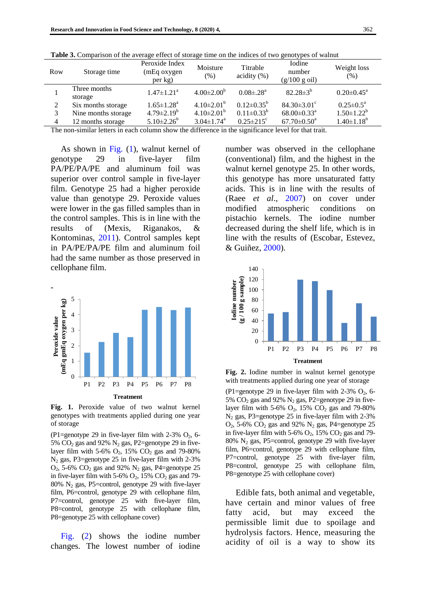| Row | Storage time            | Peroxide Index<br>(mEq oxygen<br>per kg) | Moisture<br>(%)              | Titrable<br>$\alpha$ idity $(\%)$ | Iodine<br>number<br>(g/100 g oil) | Weight loss<br>(% )        |
|-----|-------------------------|------------------------------------------|------------------------------|-----------------------------------|-----------------------------------|----------------------------|
|     | Three months<br>storage | $1.47 \pm 1.21$ <sup>a</sup>             | $4.00 \pm 2.00^b$            | $0.08 \pm 0.28$ <sup>a</sup>      | $82.28 \pm 3^{b}$                 | $0.20 \pm 0.45^{\text{a}}$ |
| 2   | Six months storage      | $1.65 \pm 1.28$ <sup>a</sup>             | $4.10\pm2.01^{b}$            | $0.12 \pm 0.35^b$                 | $84.30 \pm 3.01$ <sup>c</sup>     | $0.25 \pm 0.5^{\text{a}}$  |
| 3   | Nine months storage     | $4.79 \pm 2.19^b$                        | $4.10\pm2.01^{b}$            | $0.11 \pm 0.33^{b}$               | $68.00 \pm 0.33$ <sup>a</sup>     | $1.50 \pm 1.22^b$          |
| 4   | 12 months storage       | $5.10 \pm 2.26^b$                        | $3.04 \pm 1.74$ <sup>a</sup> | $0.25 \pm 215$ <sup>c</sup>       | $67.70 \pm 0.50^{\mathrm{a}}$     | $1.40 \pm 1.18^b$          |

<span id="page-5-0"></span>**Table 3.** Comparison of the average effect of storage time on the indices of two genotypes of walnut

The non-similar letters in each column show the difference in the significance level for that trait.

As shown in [Fig.](#page-5-1) (1), walnut kernel of genotype 29 in five-layer film PA/PE/PA/PE and aluminum foil was superior over control sample in five-layer film. Genotype 25 had a higher peroxide value than genotype 29. Peroxide values were lower in the gas filled samples than in the control samples. This is in line with the results of [\(Mexis, Riganakos, &](#page-10-7)  [Kontominas,](#page-10-7) 2011). Control samples kept in PA/PE/PA/PE film and aluminum foil had the same number as those preserved in cellophane film.

<span id="page-5-1"></span>

**Fig. 1.** Peroxide value of two walnut kernel genotypes with treatments applied during one year of storage

(P1=genotype 29 in five-layer film with 2-3%  $O_2$ , 6-5% CO<sub>2</sub> gas and 92% N<sub>2</sub> gas, P2=genotype 29 in fivelayer film with 5-6%  $O_2$ , 15%  $CO_2$  gas and 79-80%  $N_2$  gas, P3=genotype 25 in five-layer film with 2-3%  $O_2$ , 5-6%  $CO_2$  gas and 92% N<sub>2</sub> gas, P4=genotype 25 in five-layer film with 5-6%  $O_2$ , 15%  $CO_2$  gas and 79- $80\%$  N<sub>2</sub> gas, P5=control, genotype 29 with five-layer film, P6=control, genotype 29 with cellophane film, P7=control, genotype 25 with five-layer film, P8=control, genotype 25 with cellophane film, P8=genotype 25 with cellophane cover)

[Fig.](#page-5-2) (2) shows the iodine number changes. The lowest number of iodine number was observed in the cellophane (conventional) film, and the highest in the walnut kernel genotype 25. In other words, this genotype has more unsaturated fatty acids. This is in line with the results of (Raee *et al*[., 2007\)](#page-10-3) on cover under modified atmospheric conditions on pistachio kernels. The iodine number decreased during the shelf life, which is in line with the results of [\(Escobar, Estevez,](#page-9-11)  [& Guiñez, 2000\)](#page-9-11).

<span id="page-5-2"></span>

**Fig. 2.** Iodine number in walnut kernel genotype with treatments applied during one year of storage

(P1=genotype 29 in five-layer film with 2-3%  $O_2$ , 6-5%  $CO<sub>2</sub>$  gas and 92%  $N<sub>2</sub>$  gas, P2=genotype 29 in fivelayer film with 5-6%  $O_2$ , 15%  $CO_2$  gas and 79-80%  $N_2$  gas, P3=genotype 25 in five-layer film with 2-3%  $O_2$ , 5-6%  $CO_2$  gas and 92%  $N_2$  gas, P4=genotype 25 in five-layer film with 5-6%  $O_2$ , 15%  $CO_2$  gas and 79-80%  $N_2$  gas, P5=control, genotype 29 with five-layer film, P6=control, genotype 29 with cellophane film, P7=control, genotype 25 with five-layer film, P8=control, genotype 25 with cellophane film, P8=genotype 25 with cellophane cover)

Edible fats, both animal and vegetable, have certain and minor values of free fatty acid, but may exceed the permissible limit due to spoilage and hydrolysis factors. Hence, measuring the acidity of oil is a way to show its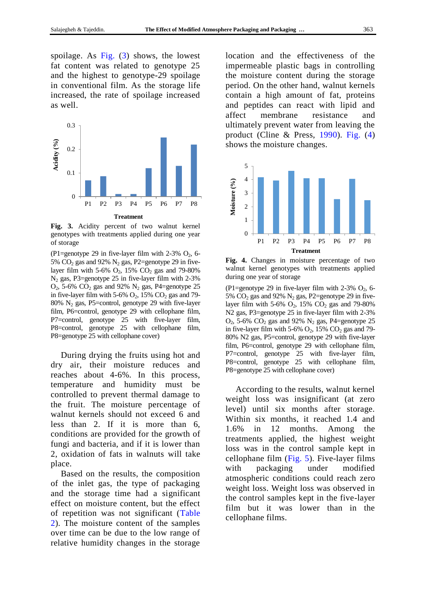spoilage. As [Fig.](#page-6-0) (3) shows, the lowest fat content was related to genotype 25 and the highest to genotype-29 spoilage in conventional film. As the storage life increased, the rate of spoilage increased as well.

<span id="page-6-0"></span>

**Fig. 3.** Acidity percent of two walnut kernel genotypes with treatments applied during one year of storage

(P1=genotype 29 in five-layer film with 2-3%  $O_2$ , 6-5%  $CO<sub>2</sub>$  gas and 92% N<sub>2</sub> gas, P2=genotype 29 in fivelayer film with 5-6%  $O_2$ , 15%  $CO_2$  gas and 79-80%  $N_2$  gas, P3=genotype 25 in five-layer film with 2-3%  $O_2$ , 5-6%  $CO_2$  gas and 92% N<sub>2</sub> gas, P4=genotype 25 in five-layer film with 5-6%  $O_2$ , 15%  $CO_2$  gas and 79-80%  $N_2$  gas, P5=control, genotype 29 with five-layer film, P6=control, genotype 29 with cellophane film, P7=control, genotype 25 with five-layer film, P8=control, genotype 25 with cellophane film, P8=genotype 25 with cellophane cover)

During drying the fruits using hot and dry air, their moisture reduces and reaches about 4-6%. In this process, temperature and humidity must be controlled to prevent thermal damage to the fruit. The moisture percentage of walnut kernels should not exceed 6 and less than 2. If it is more than 6, conditions are provided for the growth of fungi and bacteria, and if it is lower than 2, oxidation of fats in walnuts will take place.

Based on the results, the composition of the inlet gas, the type of packaging and the storage time had a significant effect on moisture content, but the effect of repetition was not significant [\(Table](#page-4-0)  [2\)](#page-4-0). The moisture content of the samples over time can be due to the low range of relative humidity changes in the storage

location and the effectiveness of the impermeable plastic bags in controlling the moisture content during the storage period. On the other hand, walnut kernels contain a high amount of fat, proteins and peptides can react with lipid and affect membrane resistance and ultimately prevent water from leaving the product [\(Cline & Press, 1990\)](#page-9-12). [Fig.](#page-6-1) (4) shows the moisture changes.

<span id="page-6-1"></span>

**Fig. 4.** Changes in moisture percentage of two walnut kernel genotypes with treatments applied during one year of storage

(P1=genotype 29 in five-layer film with 2-3%  $O_2$ , 6-5%  $CO<sub>2</sub>$  gas and 92% N<sub>2</sub> gas, P2=genotype 29 in fivelayer film with 5-6%  $O_2$ , 15%  $CO_2$  gas and 79-80% N2 gas, P3=genotype 25 in five-layer film with 2-3%  $O_2$ , 5-6%  $CO_2$  gas and 92%  $N_2$  gas, P4=genotype 25 in five-layer film with 5-6%  $O_2$ , 15%  $CO_2$  gas and 79-80% N2 gas, P5=control, genotype 29 with five-layer film, P6=control, genotype 29 with cellophane film, P7=control, genotype 25 with five-layer film, P8=control, genotype 25 with cellophane film, P8=genotype 25 with cellophane cover)

According to the results, walnut kernel weight loss was insignificant (at zero level) until six months after storage. Within six months, it reached 1.4 and 1.6% in 12 months. Among the treatments applied, the highest weight loss was in the control sample kept in cellophane film [\(Fig.](#page-7-0) 5). Five-layer films with packaging under modified atmospheric conditions could reach zero weight loss. Weight loss was observed in the control samples kept in the five-layer film but it was lower than in the cellophane films.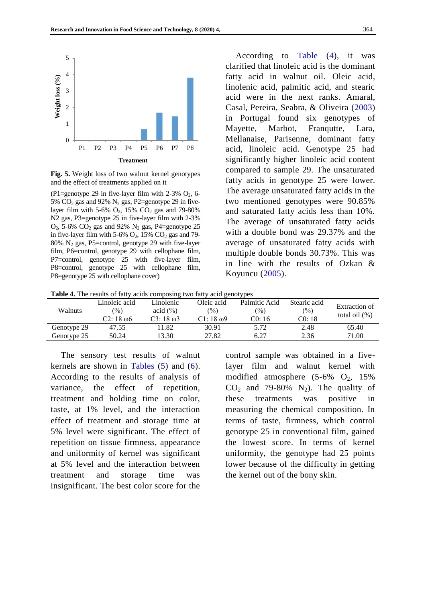<span id="page-7-0"></span>

**Fig. 5.** Weight loss of two walnut kernel genotypes and the effect of treatments applied on it

(P1=genotype 29 in five-layer film with 2-3%  $O_2$ , 6-5%  $CO<sub>2</sub>$  gas and 92% N<sub>2</sub> gas, P2=genotype 29 in fivelayer film with 5-6%  $O_2$ , 15%  $CO_2$  gas and 79-80% N2 gas, P3=genotype 25 in five-layer film with 2-3%  $O_2$ , 5-6%  $CO_2$  gas and 92%  $N_2$  gas, P4=genotype 25 in five-layer film with  $5-6\%$  O<sub>2</sub>,  $15\%$  CO<sub>2</sub> gas and 79-80%  $N_2$  gas, P5=control, genotype 29 with five-layer film, P6=control, genotype 29 with cellophane film, P7=control, genotype 25 with five-layer film, P8=control, genotype 25 with cellophane film, P8=genotype 25 with cellophane cover)

According to [Table \(4\),](#page-7-1) it was clarified that linoleic acid is the dominant fatty acid in walnut oil. Oleic acid, linolenic acid, palmitic acid, and stearic acid were in the next ranks. [Amaral,](#page-9-13)  [Casal, Pereira, Seabra, & Oliveira](#page-9-13) (2003) in Portugal found six genotypes of Mayette, Marbot, Franqutte, Lara, Mellanaise, Parisenne, dominant fatty acid, linoleic acid. Genotype 25 had significantly higher linoleic acid content compared to sample 29. The unsaturated fatty acids in genotype 25 were lower. The average unsaturated fatty acids in the two mentioned genotypes were 90.85% and saturated fatty acids less than 10%. The average of unsaturated fatty acids with a double bond was 29.37% and the average of unsaturated fatty acids with multiple double bonds 30.73%. This was in line with the results of [Ozkan &](#page-10-8)  [Koyuncu](#page-10-8) (2005).

<span id="page-7-1"></span>**Table 4.** The results of fatty acids composing two fatty acid genotypes

| <b>Walnuts</b> | Linoleic acid<br>$\frac{1}{2}$ | Linolenic<br>acid $(\% )$ | Oleic acid<br>$\frac{1}{2}$ | Palmitic Acid<br>$(\%)$ | Stearic acid<br>(%) | Extraction of<br>total oil $(\%)$ |  |
|----------------|--------------------------------|---------------------------|-----------------------------|-------------------------|---------------------|-----------------------------------|--|
|                | C2: 18 ω6                      | $C3:18\omega3$            | $Cl: 18 \omega 9$           | C0: 16                  | CO:18               |                                   |  |
| Genotype 29    | 47.55                          | 1.82                      | 30.91                       | 5.72                    | 2.48                | 65.40                             |  |
| Genotype 25    | 50.24                          | 13.30                     | 27.82                       | 6.27                    | 2.36                | 71.00                             |  |

The sensory test results of walnut kernels are shown in [Tables \(5\)](#page-8-0) and [\(6\).](#page-8-1) According to the results of analysis of variance, the effect of repetition, treatment and holding time on color, taste, at 1% level, and the interaction effect of treatment and storage time at 5% level were significant. The effect of repetition on tissue firmness, appearance and uniformity of kernel was significant at 5% level and the interaction between treatment and storage time was insignificant. The best color score for the

control sample was obtained in a fivelayer film and walnut kernel with modified atmosphere  $(5-6\%$  O<sub>2</sub>, 15%  $CO<sub>2</sub>$  and 79-80% N<sub>2</sub>). The quality of these treatments was positive in measuring the chemical composition. In terms of taste, firmness, which control genotype 25 in conventional film, gained the lowest score. In terms of kernel uniformity, the genotype had 25 points lower because of the difficulty in getting the kernel out of the bony skin.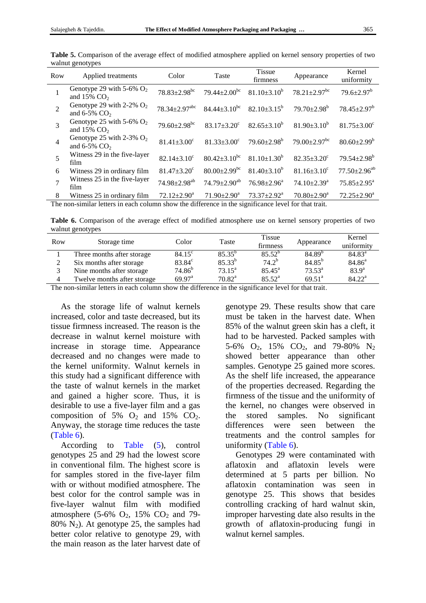|                | $w$ alliut genotypes                                       |                                 |                                |                             |                                |                                |
|----------------|------------------------------------------------------------|---------------------------------|--------------------------------|-----------------------------|--------------------------------|--------------------------------|
| Row            | Applied treatments                                         | Color                           | <b>Taste</b>                   | <b>Tissue</b><br>firmness   | Appearance                     | Kernel<br>uniformity           |
| 1              | Genotype 29 with 5-6% $O_2$<br>and $15\%$ CO <sub>2</sub>  | $78.83 \pm 2.98$ <sup>bc</sup>  | $79.44 \pm 2.00^{\rm bc}$      | $81.10\pm3.10^{b}$          | $78.21 \pm 2.97$ <sup>bc</sup> | $79.6 \pm 2.97^b$              |
| $\mathfrak{D}$ | Genotype 29 with 2-2% $O_2$<br>and 6-5% $CO2$              | $78.34 \pm 2.97$ <sup>abc</sup> | $84.44 \pm 3.10^{bc}$          | $82.10\pm3.15^b$            | $79.70 \pm 2.98^{\rm b}$       | $78.45 \pm 2.97^b$             |
| 3              | Genotype 25 with 5-6% $O_2$<br>and 15% $CO2$               | $79.60 \pm 2.98$ <sup>bc</sup>  | $83.17 \pm 3.20^{\circ}$       | $82.65 \pm 3.10^b$          | $81.90 \pm 3.10^b$             | $81.75 \pm 3.00^{\circ}$       |
| 4              | Genotype 25 with 2-3% $O_2$<br>and $6-5\%$ CO <sub>2</sub> | $81.41 \pm 3.00^{\circ}$        | $81.33 \pm 3.00^{\circ}$       | $79.60 \pm 2.98^b$          | $79.00 \pm 2.97$ <sup>bc</sup> | $80.60 \pm 2.99^b$             |
| 5              | Witness 29 in the five-layer<br>film                       | $82.14 \pm 3.10^c$              | $80.42 \pm 3.10^{bc}$          | $81.10 \pm 1.30^b$          | $82.35 \pm 3.20^{\circ}$       | $79.54 \pm 2.98^b$             |
| 6              | Witness 29 in ordinary film                                | $81.47 \pm 3.20$ <sup>c</sup>   | $80.00 \pm 2.99$ <sup>bc</sup> | $81.40 \pm 3.10^b$          | $81.16 \pm 3.10^c$             | $77.50 \pm 2.96$ <sup>ab</sup> |
| $\tau$         | Witness 25 in the five-layer<br>film                       | 74.98±2.98 <sup>ab</sup>        | $74.79 \pm 2.90^{ab}$          | $76.98 \pm 2.96^a$          | $74.10 \pm 2.39$ <sup>a</sup>  | $75.85 \pm 2.95^{\text{a}}$    |
| 8              | Witness 25 in ordinary film                                | $72.12 \pm 2.90^a$              | $71.90 \pm 2.90^a$             | $73.37 \pm 2.92^{\text{a}}$ | $70.80 \pm 2.90^{\circ}$       | $72.25 \pm 2.90^a$             |

<span id="page-8-0"></span>**Table 5.** Comparison of the average effect of modified atmosphere applied on kernel sensory properties of two walnut genotypes

<span id="page-8-1"></span>The non-similar letters in each column show the difference in the significance level for that trait.

Table 6. Comparison of the average effect of modified atmosphere use on kernel sensory properties of two walnut genotypes

| Row | Storage time                | Color              | Taste           | <b>Tissue</b><br>firmness | Appearance      | Kernel<br>uniformity |
|-----|-----------------------------|--------------------|-----------------|---------------------------|-----------------|----------------------|
|     | Three months after storage  | $84.15^{\circ}$    | $85.35^{b}$     | $85.52^{b}$               | $84.89^{b}$     | $84.83^{\circ}$      |
|     | Six months after storage    | 83.84 <sup>c</sup> | $85.33^{b}$     | $74.2^{b}$                | $84.85^{b}$     | $84.86^a$            |
|     | Nine months after storage   | $74.86^{b}$        | $73.15^{\circ}$ | $85.45^{\circ}$           | $73.53^{\rm a}$ | $83.9^{a}$           |
| 4   | Twelve months after storage | 69.97 <sup>a</sup> | $70.82^{\rm a}$ | 85.52 <sup>a</sup>        | $69.51^{\circ}$ | $84.22^{\rm a}$      |

The non-similar letters in each column show the difference in the significance level for that trait.

As the storage life of walnut kernels increased, color and taste decreased, but its tissue firmness increased. The reason is the decrease in walnut kernel moisture with increase in storage time. Appearance decreased and no changes were made to the kernel uniformity. Walnut kernels in this study had a significant difference with the taste of walnut kernels in the market and gained a higher score. Thus, it is desirable to use a five-layer film and a gas composition of 5%  $O_2$  and 15%  $CO_2$ . Anyway, the storage time reduces the taste [\(Table 6\)](#page-8-1).

According to [Table \(5\),](#page-8-0) control genotypes 25 and 29 had the lowest score in conventional film. The highest score is for samples stored in the five-layer film with or without modified atmosphere. The best color for the control sample was in five-layer walnut film with modified atmosphere (5-6%  $O_2$ , 15%  $CO_2$  and 79- $80\%$  N<sub>2</sub>). At genotype 25, the samples had better color relative to genotype 29, with the main reason as the later harvest date of

genotype 29. These results show that care must be taken in the harvest date. When 85% of the walnut green skin has a cleft, it had to be harvested. Packed samples with 5-6% O<sub>2</sub>, 15% CO<sub>2</sub>, and 79-80% N<sub>2</sub> showed better appearance than other samples. Genotype 25 gained more scores. As the shelf life increased, the appearance of the properties decreased. Regarding the firmness of the tissue and the uniformity of the kernel, no changes were observed in the stored samples. No significant differences were seen between the treatments and the control samples for uniformity [\(Table 6\)](#page-8-1).

Genotypes 29 were contaminated with aflatoxin and aflatoxin levels were determined at 5 parts per billion. No aflatoxin contamination was seen in genotype 25. This shows that besides controlling cracking of hard walnut skin, improper harvesting date also results in the growth of aflatoxin-producing fungi in walnut kernel samples.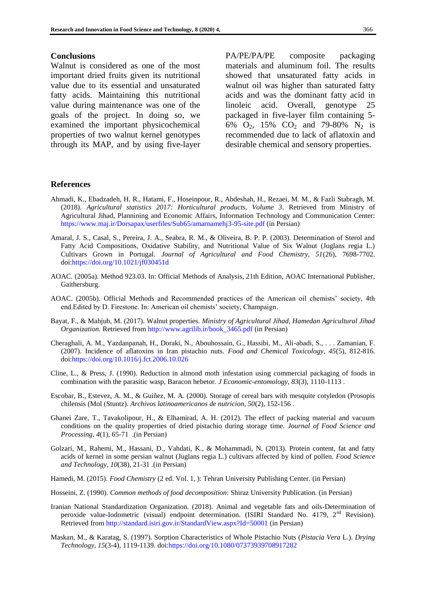## **Conclusions**

Walnut is considered as one of the most important dried fruits given its nutritional value due to its essential and unsaturated fatty acids. Maintaining this nutritional value during maintenance was one of the goals of the project. In doing so, we examined the important physicochemical properties of two walnut kernel genotypes through its MAP, and by using five-layer PA/PE/PA/PE composite packaging materials and aluminum foil. The results showed that unsaturated fatty acids in walnut oil was higher than saturated fatty acids and was the dominant fatty acid in linoleic acid. Overall, genotype 25 packaged in five-layer film containing 5- 6%  $O_2$ , 15%  $CO_2$  and 79-80%  $N_2$  is recommended due to lack of aflatoxin and desirable chemical and sensory properties.

#### **References**

- <span id="page-9-0"></span>Ahmadi, K., Ebadzadeh, H. R., Hatami, F., Hoseinpour, R., Abdeshah, H., Rezaei, M. M., & Fazli Stabragh, M. (2018). *Agricultural statistics 2017: Horticultural products, Volume 3*. Retrieved from Ministry of Agricultural Jihad, Plannining and Economic Affairs, Information Technology and Communication Center: <https://www.maj.ir/Dorsapax/userfiles/Sub65/amarnamehj3-95-site.pdf> (in Persian)
- <span id="page-9-13"></span>Amaral, J. S., Casal, S., Pereira, J. A., Seabra, R. M., & Oliveira, B. P. P. (2003). Determination of Sterol and Fatty Acid Compositions, Oxidative Stability, and Nutritional Value of Six Walnut (Juglans regia L.) Cultivars Grown in Portugal. *Journal of Agricultural and Food Chemistry, 51*(26), 7698-7702. doi[:https://doi.org/10.1021/jf030451d](https://doi.org/10.1021/jf030451d)
- <span id="page-9-9"></span>AOAC. (2005a). Method 923.03. In: Official Methods of Analysis, 21th Edition, AOAC International Publisher, Gaithersburg.
- <span id="page-9-6"></span>AOAC. (2005b). Official Methods and Recommended practices of the American oil chemists' society, 4th end.Edited by D. Firestone. In: American oil chemists' society, Champaign.
- <span id="page-9-1"></span>Bayat, F., & Mahjub, M. (2017). Walnut properties. *Ministry of Agricultural Jihad, Hamedan Agricultural Jihad Organization.* Retrieved fro[m http://www.agrilib.ir/book\\_3465.pdf](http://www.agrilib.ir/book_3465.pdf) (in Persian)
- <span id="page-9-10"></span>Cheraghali, A. M., Yazdanpanah, H., Doraki, N., Abouhossain, G., Hassibi, M., Ali-abadi, S., . . . Zamanian, F. (2007). Incidence of aflatoxins in Iran pistachio nuts. *Food and Chemical Toxicology, 45*(5), 812-816. doi[:https://doi.org/10.1016/j.fct.2006.10.026](https://doi.org/10.1016/j.fct.2006.10.026)
- <span id="page-9-12"></span>Cline, L., & Press, J. (1990). Reduction in almond moth infestation using commercial packaging of foods in combination with the parasitic wasp, Baracon hebetor. *J Economic-entomology, 83*(3), 1110-1113 .
- <span id="page-9-11"></span>Escobar, B., Estevez, A. M., & Guiñez, M. A. (2000). Storage of cereal bars with mesquite cotyledon (Prosopis chilensis (Mol (Stuntz). *Archivos latinoamericanos de nutricion*, 50(2), 152-156.
- <span id="page-9-5"></span>Ghanei Zare, T., Tavakolipour, H., & Elhamirad, A. H. (2012). The effect of packing material and vacuum conditions on the quality properties of dried pistachio during storage time. *Journal of Food Science and Processing, 4*(1), 65-71 .(in Persian)
- <span id="page-9-2"></span>Golzari, M., Rahemi, M., Hassani, D., Vahdati, K., & Mohammadi, N. (2013). Protein content, fat and fatty acids of kernel in some persian walnut (Juglans regia L.) cultivars affected by kind of pollen. *Food Science and Technology, 10*(38), 21-31 .(in Persian)
- <span id="page-9-4"></span>Hamedi, M. (2015). *Food Chemistry* (2 ed. Vol. 1, ): Tehran University Publishing Center. (in Persian)
- <span id="page-9-8"></span>Hosseini, Z. (1990). *Common methods of food decomposition*: Shiraz University Publication. (in Persian)
- <span id="page-9-7"></span>Iranian National Standardization Organization. (2018). Animal and vegetable fats and oils-Determination of peroxide value-Iodometric (visual) endpoint determination. (ISIRI Standard No. 4179,  $2<sup>nd</sup>$  Revision). Retrieved from<http://standard.isiri.gov.ir/StandardView.aspx?Id=50001> (in Persian)
- <span id="page-9-3"></span>Maskan, M., & Karatag, S. (1997). Sorption Characteristics of Whole Pistachio Nuts (*Pistacia Vera* L.). *Drying Technology, 15*(3-4), 1119-1139. doi[:https://doi.org/10.1080/07373939708917282](https://doi.org/10.1080/07373939708917282)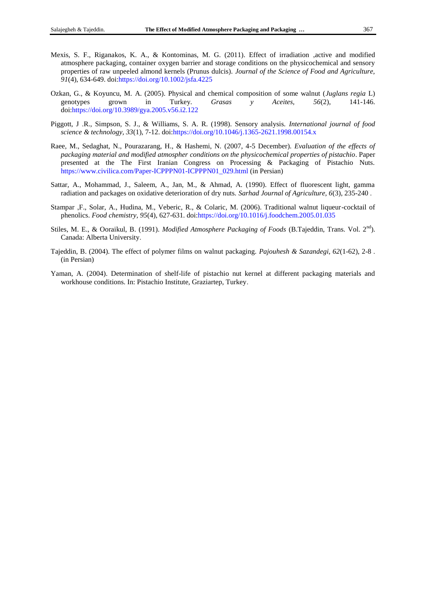- <span id="page-10-7"></span>Mexis, S. F., Riganakos, K. A., & Kontominas, M. G. (2011). Effect of irradiation ,active and modified atmosphere packaging, container oxygen barrier and storage conditions on the physicochemical and sensory properties of raw unpeeled almond kernels (Prunus dulcis). *Journal of the Science of Food and Agriculture, 91*(4), 634-649. doi[:https://doi.org/10.1002/jsfa.4225](https://doi.org/10.1002/jsfa.4225)
- <span id="page-10-8"></span>Ozkan, G., & Koyuncu, M. A. (2005). Physical and chemical composition of some walnut (*Juglans regia* L) genotypes grown in Turkey. *Grasas y Aceites, 56*(2), 141-146. doi[:https://doi.org/10.3989/gya.2005.v56.i2.122](https://doi.org/10.3989/gya.2005.v56.i2.122)
- <span id="page-10-6"></span>Piggott, J .R., Simpson, S. J., & Williams, S. A. R. (1998). Sensory analysis. *International journal of food science & technology, 33*(1), 7-12. do[i:https://doi.org/10.1046/j.1365-2621.1998.00154.x](https://doi.org/10.1046/j.1365-2621.1998.00154.x)
- <span id="page-10-3"></span>Raee, M., Sedaghat, N., Pourazarang, H., & Hashemi, N. (2007, 4-5 December). *Evaluation of the effects of packaging material and modified atmospher conditions on the physicochemical properties of pistachio*. Paper presented at the The First Iranian Congress on Processing & Packaging of Pistachio Nuts. [https://www.civilica.com/Paper-ICPPPN01-ICPPPN01\\_029.html](https://www.civilica.com/Paper-ICPPPN01-ICPPPN01_029.html) (in Persian)
- <span id="page-10-4"></span>Sattar, A., Mohammad, J., Saleem, A., Jan, M., & Ahmad, A. (1990). Effect of fluorescent light, gamma radiation and packages on oxidative deterioration of dry nuts. *Sarhad Journal of Agriculture, 6*(3), 235-240 .
- <span id="page-10-0"></span>Stampar ,F., Solar, A., Hudina, M., Veberic, R., & Colaric, M. (2006). Traditional walnut liqueur-cocktail of phenolics. *Food chemistry, 95*(4), 627-631. doi[:https://doi.org/10.1016/j.foodchem.2005.01.035](https://doi.org/10.1016/j.foodchem.2005.01.035)
- <span id="page-10-5"></span>Stiles, M. E., & Ooraikul, B. (1991). *Modified Atmosphere Packaging of Foods* (B.Tajeddin, Trans. Vol. 2<sup>nd</sup>). Canada: Alberta University.
- <span id="page-10-1"></span>Tajeddin, B. (2004). The effect of polymer films on walnut packaging. *Pajouhesh & Sazandegi, 62*(1-62), 2-8 . (in Persian)
- <span id="page-10-2"></span>Yaman, A. (2004). Determination of shelf-life of pistachio nut kernel at different packaging materials and workhouse conditions. In: Pistachio Institute, Graziartep, Turkey.